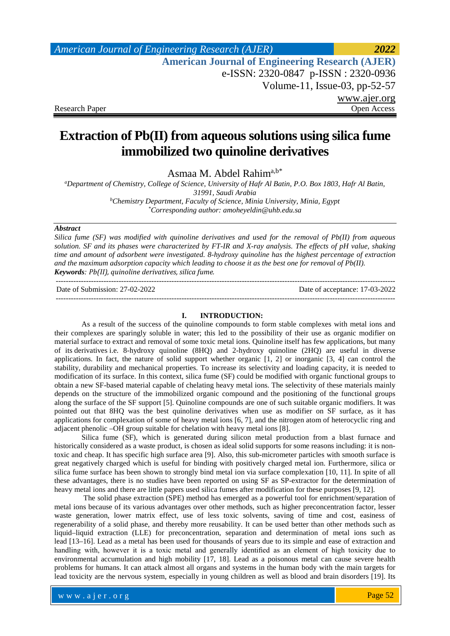## *American Journal of Engineering Research (AJER) 2022* **American Journal of Engineering Research (AJER)** e-ISSN: 2320-0847 p-ISSN : 2320-0936 Volume-11, Issue-03, pp-52-57 [www.ajer.org](http://www.ajer.org/) Research Paper Open Access

# **Extraction of Pb(II) from aqueous solutions using silica fume immobilized two quinoline derivatives**

Asmaa M. Abdel Rahima,b\*

*a Department of Chemistry, College of Science, University of Hafr Al Batin, P.O. Box 1803, Hafr Al Batin, 31991, Saudi Arabia b Chemistry Department, Faculty of Science, Minia University, Minia, Egypt \* Corresponding author: [amoheyeldin@uhb.edu.sa](mailto:amoheyeldin@uhb.edu.sa)*

#### *Abstract*

*Silica fume (SF) was modified with quinoline derivatives and used for the removal of Pb(II) from aqueous solution. SF and its phases were characterized by FT-IR and X-ray analysis. The effects of pH value, shaking time and amount of adsorbent were investigated. 8-hydroxy quinoline has the highest percentage of extraction and the maximum adsorption capacity which leading to choose it as the best one for removal of Pb(II). Keywords: Pb(II), quinoline derivatives, silica fume.*

--------------------------------------------------------------------------------------------------------------------------------------- Date of Submission: 27-02-2022 Date of acceptance: 17-03-2022 ---------------------------------------------------------------------------------------------------------------------------------------

### **I. INTRODUCTION:**

As a result of the success of the quinoline compounds to form stable complexes with metal ions and their complexes are sparingly soluble in water; this led to the possibility of their use as organic modifier on material surface to extract and removal of some toxic metal ions. Quinoline itself has few applications, but many of its [derivatives](http://en.wikipedia.org/wiki/Derivative_(chemistry)) i.e. 8-hydroxy quinoline (8HQ) and 2-hydroxy quinoline (2HQ) are useful in diverse applications. In fact, the nature of solid support whether organic [1, 2] or inorganic [3, 4] can control the stability, durability and mechanical properties. To increase its selectivity and loading capacity, it is needed to modification of its surface. In this context, silica fume (SF) could be modified with organic functional groups to obtain a new SF-based material capable of chelating heavy metal ions. The selectivity of these materials mainly depends on the structure of the immobilized organic compound and the positioning of the functional groups along the surface of the SF support [5]. Quinoline compounds are one of such suitable organic modifiers. It was pointed out that 8HQ was the best quinoline derivatives when use as modifier on SF surface, as it has applications for complexation of some of heavy metal ions [6, 7], and the nitrogen atom of heterocyclic ring and adjacent phenolic –OH group suitable for chelation with heavy metal ions [8].

Silica fume (SF), which is generated during silicon metal production from a blast furnace and historically considered as a waste product, is chosen as ideal solid supports for some reasons including: it is nontoxic and cheap. It has specific high surface area [9]. Also, this sub-micrometer particles with smooth surface is great negatively charged which is useful for binding with positively charged metal ion. Furthermore, silica or silica fume surface has been shown to strongly bind metal ion via surface complexation [10, 11]. In spite of all these advantages, there is no studies have been reported on using SF as SP-extractor for the determination of heavy metal ions and there are little papers used silica fumes after modification for these purposes [9, 12].

The solid phase extraction (SPE) method has emerged as a powerful tool for enrichment/separation of metal ions because of its various advantages over other methods, such as higher preconcentration factor, lesser waste generation, lower matrix effect, use of less toxic solvents, saving of time and cost, easiness of regenerability of a solid phase, and thereby more reusability. It can be used better than other methods such as liquid–liquid extraction (LLE) for preconcentration, separation and determination of metal ions such as lead [13–16]. Lead as a metal has been used for thousands of years due to its simple and ease of extraction and handling with, however it is a toxic metal and generally identified as an element of high toxicity due to environmental accumulation and high mobility [17, 18]. Lead as a poisonous metal can cause severe health problems for humans. It can attack almost all organs and systems in the human body with the main targets for lead toxicity are the nervous system, especially in young children as well as blood and brain disorders [19]. Its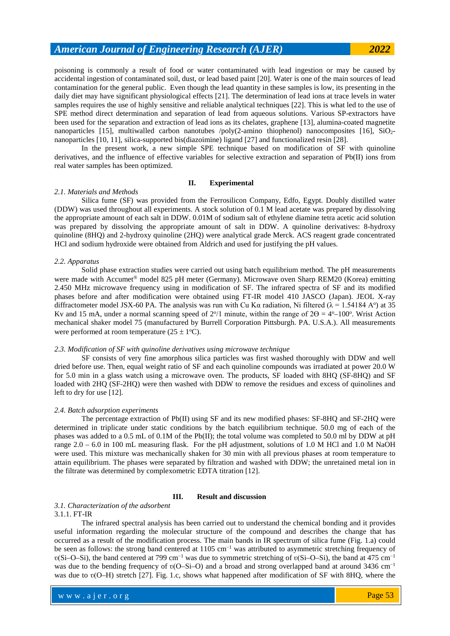poisoning is commonly a result of food or water contaminated with lead ingestion or may be caused by accidental ingestion of contaminated soil, dust, or lead based paint [20]. Water is one of the main sources of lead contamination for the general public. Even though the lead quantity in these samples is low, its presenting in the daily diet may have significant physiological effects [21]. The determination of lead ions at trace levels in water samples requires the use of highly sensitive and reliable analytical techniques [22]. This is what led to the use of SPE method direct determination and separation of lead from aqueous solutions. Various SP-extractors have been used for the separation and extraction of lead ions as its chelates, graphene [13], alumina-coated magnetite nanoparticles [15], multiwalled carbon nanotubes /poly(2-amino thiophenol) nanocomposites [16],  $SiO<sub>2</sub>$ nanoparticles [10, 11], silica-supported bis(diazoimine) ligand [27] and functionalized resin [28].

In the present work, a new simple SPE technique based on modification of SF with quinoline derivatives, and the influence of effective variables for selective extraction and separation of Pb(II) ions from real water samples has been optimized.

#### **II. Experimental**

#### *2.1. Materials and Methods*

Silica fume (SF) was provided from the Ferrosilicon Company, Edfo, Egypt. Doubly distilled water (DDW) was used throughout all experiments. A stock solution of 0.1 M lead acetate was prepared by dissolving the appropriate amount of each salt in DDW. 0.01M of sodium salt of ethylene diamine tetra acetic acid solution was prepared by dissolving the appropriate amount of salt in DDW. A quinoline derivatives: 8-hydroxy quinoline (8HQ) and 2-hydroxy quinoline (2HQ) were analytical grade Merck. ACS reagent grade concentrated HCl and sodium hydroxide were obtained from Aldrich and used for justifying the pH values.

#### *2.2. Apparatus*

Solid phase extraction studies were carried out using batch equilibrium method. The pH measurements were made with Accumet<sup>®</sup> model 825 pH meter (Germany). Microwave oven Sharp REM20 (Korea) emitting 2.450 MHz microwave frequency using in modification of SF. The infrared spectra of SF and its modified phases before and after modification were obtained using FT-IR model 410 JASCO (Japan). JEOL X-ray diffractometer model JSX-60 PA. The analysis was run with Cu K $\alpha$  radiation, Ni filtered ( $\lambda$  = 1.54184 A<sup>o</sup>) at 35 Kv and 15 mA, under a normal scanning speed of  $2^{\circ}/1$  minute, within the range of  $2\Theta = 4^{\circ}-100^{\circ}$ . Wrist Action mechanical shaker model 75 (manufactured by Burrell Corporation Pittsburgh. PA. U.S.A.). All measurements were performed at room temperature  $(25 \pm 1^{\circ}C)$ .

#### *2.3. Modification of SF with quinoline derivatives using microwave technique*

SF consists of very fine amorphous silica particles was first washed thoroughly with DDW and well dried before use. Then, equal weight ratio of SF and each quinoline compounds was irradiated at power 20.0 W for 5.0 min in a glass watch using a microwave oven. The products, SF loaded with 8HQ (SF-8HQ) and SF loaded with 2HQ (SF-2HQ) were then washed with DDW to remove the residues and excess of quinolines and left to dry for use [12].

#### *2.4. Batch adsorption experiments*

The percentage extraction of Pb(II) using SF and its new modified phases: SF-8HQ and SF-2HQ were determined in triplicate under static conditions by the batch equilibrium technique. 50.0 mg of each of the phases was added to a 0.5 mL of 0.1M of the Pb(II); the total volume was completed to 50.0 ml by DDW at pH range  $2.0 - 6.0$  in 100 mL measuring flask. For the pH adjustment, solutions of 1.0 M HCl and 1.0 M NaOH were used. This mixture was mechanically shaken for 30 min with all previous phases at room temperature to attain equilibrium. The phases were separated by filtration and washed with DDW; the unretained metal ion in the filtrate was determined by complexometric EDTA titration [12].

#### **III. Result and discussion**

#### *3.1. Characterization of the adsorbent* 3.1.1. FT-IR

The infrared spectral analysis has been carried out to understand the chemical bonding and it provides useful information regarding the molecular structure of the compound and describes the change that has occurred as a result of the modification process. The main bands in IR spectrum of silica fume (Fig. 1.a) could be seen as follows: the strong band centered at 1105 cm<sup>-1</sup> was attributed to asymmetric stretching frequency of v(Si–O–Si), the band centered at 799 cm<sup>-1</sup> was due to symmetric stretching of v(Si–O–Si), the band at 475 cm<sup>-1</sup> was due to the bending frequency of v(O–Si–O) and a broad and strong overlapped band at around 3436 cm<sup>-1</sup> was due to  $v(O-H)$  stretch [27]. Fig. 1.c, shows what happened after modification of SF with 8HQ, where the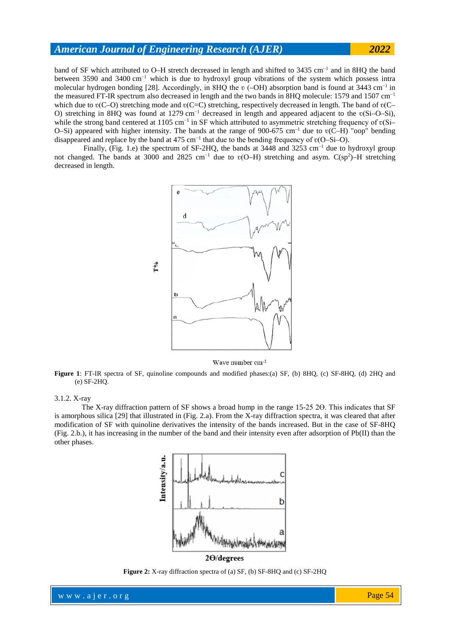band of SF which attributed to O–H stretch decreased in length and shifted to 3435 cm−1 and in 8HQ the band between 3590 and 3400 cm−1 which is due to hydroxyl group vibrations of the system which possess intra molecular hydrogen bonding [\[28\]](http://rd.springer.com/article/10.1007%2Fs10973-010-0761-5/fulltext.html#CR21). Accordingly, in 8HQ the v (–OH) absorption band is found at  $3443 \text{ cm}^{-1}$  in the measured FT-IR spectrum also decreased in length and the two bands in 8HQ molecule: 1579 and 1507 cm<sup>-1</sup> which due to  $v(C-O)$  stretching mode and  $v(C=C)$  stretching, respectively decreased in length. The band of  $v(C-V)$ O) stretching in 8HQ was found at 1279 cm<sup>-1</sup> decreased in length and appeared adjacent to the v(Si–O–Si), while the strong band centered at 1105 cm<sup>-1</sup> in SF which attributed to asymmetric stretching frequency of v(Si– O–Si) appeared with higher intensity. The bands at the range of 900-675 cm<sup>-1</sup> due to  $v(\overline{C}-H)$  "oop" bending disappeared and replace by the band at 475 cm<sup>−</sup><sup>1</sup> that due to the bending frequency of ʋ(O–Si–O).

Finally, (Fig. 1.e) the spectrum of SF-2HQ, the bands at 3448 and 3253 cm<sup>-1</sup> due to hydroxyl group not changed. The bands at 3000 and 2825 cm<sup>-1</sup> due to v(O–H) stretching and asym. C(sp<sup>2</sup>)–H stretching decreased in length.



Wave number cm-1

**Figure 1**: FT-IR spectra of SF, quinoline compounds and modified phases:(a) SF, (b) 8HQ, (c) SF-8HQ, (d) 2HQ and (e) SF-2HQ.

#### 3.1.2. X-ray

The X-ray diffraction pattern of SF shows a broad hump in the range 15-25 2 $\Theta$ . This indicates that SF is amorphous silica [29] that illustrated in (Fig. 2.a). From the X-ray diffraction spectra, it was cleared that after modification of SF with quinoline derivatives the intensity of the bands increased. But in the case of SF-8HQ (Fig. 2.b.), it has increasing in the number of the band and their intensity even after adsorption of Pb(II) than the other phases.



**Figure 2:** X-ray diffraction spectra of (a) SF, (b) SF-8HQ and (c) SF-2HQ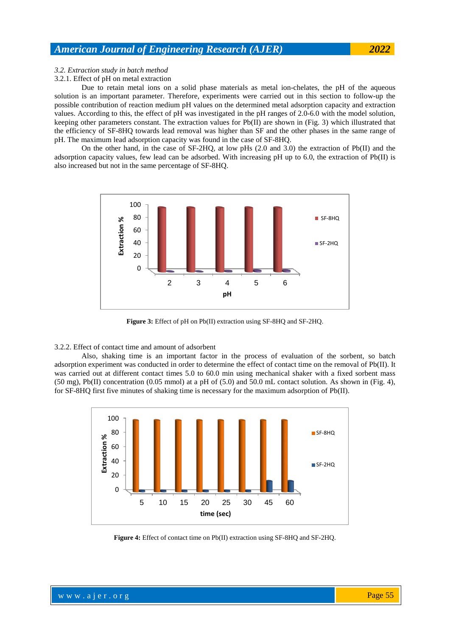### *3.2. Extraction study in batch method*

3.2.1. Effect of pH on metal extraction

Due to retain metal ions on a solid phase materials as metal ion-chelates, the pH of the aqueous solution is an important parameter. Therefore, experiments were carried out in this section to follow-up the possible contribution of reaction medium pH values on the determined metal adsorption capacity and extraction values. According to this, the effect of pH was investigated in the pH ranges of 2.0-6.0 with the model solution, keeping other parameters constant. The extraction values for Pb(II) are shown in (Fig. 3) which illustrated that the efficiency of SF-8HQ towards lead removal was higher than SF and the other phases in the same range of pH. The maximum lead adsorption capacity was found in the case of SF-8HQ.

On the other hand, in the case of SF-2HQ, at low pHs (2.0 and 3.0) the extraction of Pb(II) and the adsorption capacity values, few lead can be adsorbed. With increasing pH up to 6.0, the extraction of Pb(II) is also increased but not in the same percentage of SF-8HQ.



**Figure 3:** Effect of pH on Pb(II) extraction using SF-8HQ and SF-2HQ.

#### 3.2.2. Effect of contact time and amount of adsorbent

Also, shaking time is an important factor in the process of evaluation of the sorbent, so batch adsorption experiment was conducted in order to determine the effect of contact time on the removal of Pb(II). It was carried out at different contact times 5.0 to 60.0 min using mechanical shaker with a fixed sorbent mass  $(50 \text{ mg})$ , Pb(II) concentration  $(0.05 \text{ mmol})$  at a pH of  $(5.0)$  and  $50.0 \text{ mL}$  contact solution. As shown in (Fig. 4), for SF-8HQ first five minutes of shaking time is necessary for the maximum adsorption of Pb(II).



**Figure 4:** Effect of contact time on Pb(II) extraction using SF-8HQ and SF-2HQ.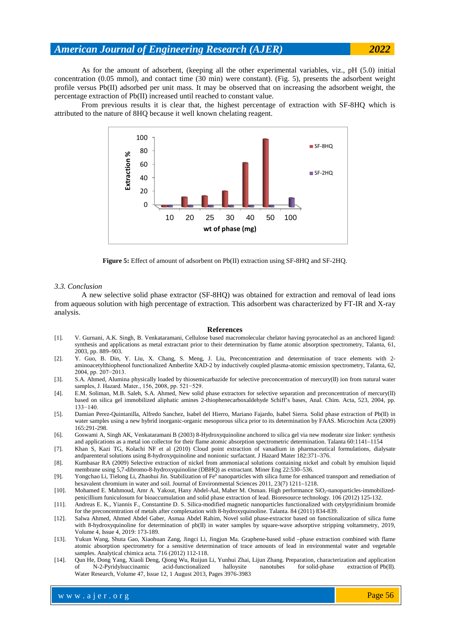As for the amount of adsorbent, (keeping all the other experimental variables, viz., pH (5.0) initial concentration (0.05 mmol), and contact time (30 min) were constant). (Fig. 5), presents the adsorbent weight profile versus Pb(II) adsorbed per unit mass. It may be observed that on increasing the adsorbent weight, the percentage extraction of Pb(II) increased until reached to constant value.

From previous results it is clear that, the highest percentage of extraction with SF-8HQ which is attributed to the nature of 8HQ because it well known chelating reagent.



**Figure 5:** Effect of amount of adsorbent on Pb(II) extraction using SF-8HQ and SF-2HQ.

#### *3.3. Conclusion*

A new selective solid phase extractor (SF-8HQ) was obtained for extraction and removal of lead ions from aqueous solution with high percentage of extraction. This adsorbent was characterized by FT-IR and X-ray analysis.

#### **References**

- [1]. V. Gurnani, A.K. Singh, B. Venkataramani, Cellulose based macromolecular chelator having pyrocatechol as an anchored ligand: synthesis and applications as metal extractant prior to their determination by flame atomic absorption spectrometry, Talanta, 61, 2003, pp. 889–903.
- [2]. Y. Guo, B. Din, Y. Liu, X. Chang, S. Meng, J. Liu, Preconcentration and determination of trace elements with 2 aminoacetylthiophenol functionalized Amberlite XAD-2 by inductively coupled plasma-atomic emission spectrometry, Talanta, 62, 2004, pp. 207−2013.
- [3]. S.A. Ahmed, Alumina physically loaded by thiosemicarbazide for selective preconcentration of mercury(II) ion from natural water samples, J. Hazard. Mater., 156, 2008, pp. 521−529.
- [4]. E.M. Soliman, M.B. Saleh, S.A. Ahmed, New solid phase extractors for selective separation and preconcentration of mercury(II) based on silica gel immobilized aliphatic amines 2-thiophenecarboxaldehyde Schiff's bases, Anal. Chim. Acta, 523, 2004, pp. 133−140.
- [5]. Damian Perez-Quintanilla, Alfredo Sanchez, Isabel del Hierro, Mariano Fajardo, Isabel Sierra. Solid phase extraction of Pb(II) in water samples using a new hybrid inorganic-organic mesoporous silica prior to its determination by FAAS. Microchim Acta (2009) 165:291-298.
- [6]. Goswami A, Singh AK, Venkataramani B (2003) 8-Hydroxyquinoline anchored to silica gel via new moderate size linker: synthesis and applications as a metal ion collector for their flame atomic absorption spectrometric determination. Talanta 60:1141–1154
- [7]. Khan S, Kazi TG, Kolachi NF et al (2010) Cloud point extraction of vanadium in pharmaceutical formulations, dialysate andparenteral solutions using 8-hydroxyquinoline and nonionic surfactant. J Hazard Mater 182:371–376.
- [8]. Kumbasar RA (2009) Selective extraction of nickel from ammoniacal solutions containing nickel and cobalt by emulsion liquid membrane using 5,7-dibromo-8-hydroxyquinoline (DBHQ) as extractant. Miner Eng 22:530–536.
- [9]. Yongchao Li, Tielong Li, Zhaohui Jin. Stabilization of Fe<sup>0</sup> nanoparticles with silica fume for enhanced transport and remediation of hexavalent chromium in water and soil. Journal of Environmental Sciences 2011, 23(7) 1211–1218.
- [10]. Mohamed E. Mahmoud, Amr A. Yakout, Hany Abdel-Aal, Maher M. Osman. High performance SiO<sub>2</sub>-nanoparticles-immobilizedpenicillium funiculosum for bioaccumulation and solid phase extraction of lead. Bioresource technology. 106 (2012) 125-132.
- [11]. Andreas E. K., Yiannis F., Constantine D. S. Silica-modified magnetic nanoparticles functionalized with cetylpyridinium bromide for the preconcentration of metals after complexation with 8-hydroxyquinoline. Talanta. 84 (2011) 834-839.
- [12]. Salwa Ahmed, Ahmed Abdel Gaber, Asmaa Abdel Rahim, Novel solid phase-extractor based on functionalization of silica fume with 8-hydroxyquinoline for determination of pb(II) in water samples by square-wave adsorptive stripping voltammetry, 2019, Volume 4, Issue 4, 2019: 173-189.
- [13]. Yukun Wang, Shuta Gao, Xiaohuan Zang, Jingci Li, Jingjun Ma. Graphene-based solid –phase extraction combined with flame atomic absorption spectrometry for a sensitive determination of trace amounts of lead in environmental water and vegetable samples. Analytical chimica acta. 716 (2012) 112-118.
- [14]. Qun He, Dong Yang, Xiaoli Deng, Qiong Wu, Ruijun Li, Yunhui Zhai, Lijun Zhang. [Preparation, characterization and application](http://www.sciencedirect.com/science/article/pii/S0043135413001863)  [of N-2-Pyridylsuccinamic acid-functionalized halloysite nanotubes for](http://www.sciencedirect.com/science/article/pii/S0043135413001863) solid-phase extraction of Pb(II). Water Research, Volume 47, Issue 12, 1 August 2013, Pages 3976-3983